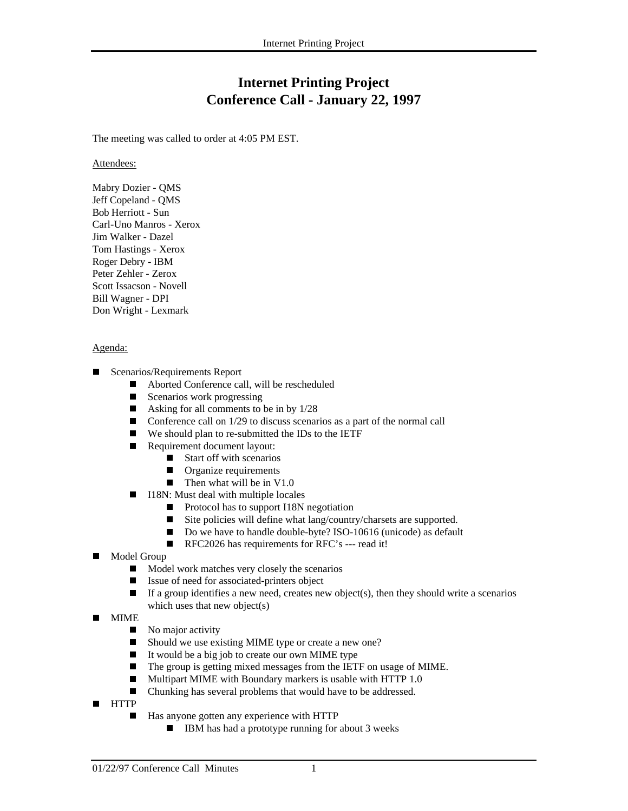## **Internet Printing Project Conference Call - January 22, 1997**

The meeting was called to order at 4:05 PM EST.

Attendees:

Mabry Dozier - QMS Jeff Copeland - QMS Bob Herriott - Sun Carl-Uno Manros - Xerox Jim Walker - Dazel Tom Hastings - Xerox Roger Debry - IBM Peter Zehler - Zerox Scott Issacson - Novell Bill Wagner - DPI Don Wright - Lexmark

## Agenda:

- Г Scenarios/Requirements Report
	- Aborted Conference call, will be rescheduled
	- Scenarios work progressing
	- Asking for all comments to be in by  $1/28$
	- $\Box$  Conference call on 1/29 to discuss scenarios as a part of the normal call
	- $\blacksquare$  We should plan to re-submitted the IDs to the IETF
	- Requirement document layout:
		- $\blacksquare$  Start off with scenarios
		- **Organize requirements**
		- Then what will be in  $V1.0$
	- $\blacksquare$  I18N: Must deal with multiple locales
		- Protocol has to support I18N negotiation
		- $\blacksquare$ Site policies will define what lang/country/charsets are supported.
		- Do we have to handle double-byte? ISO-10616 (unicode) as default
		- RFC2026 has requirements for RFC's --- read it!
- $\blacksquare$  Model Group
	- $\blacksquare$ Model work matches very closely the scenarios
	- $\blacksquare$ Issue of need for associated-printers object
	- $\blacksquare$  If a group identifies a new need, creates new object(s), then they should write a scenarios which uses that new object(s)
- $\overline{\phantom{a}}$  MIME
	- $\blacksquare$ No major activity
	- $\blacksquare$ Should we use existing MIME type or create a new one?
	- $\blacksquare$ It would be a big job to create our own MIME type
	- $\blacksquare$ The group is getting mixed messages from the IETF on usage of MIME.
	- $\blacksquare$ Multipart MIME with Boundary markers is usable with HTTP 1.0
	- $\blacksquare$ Chunking has several problems that would have to be addressed.
- $\overline{\phantom{a}}$  HTTP  $\blacksquare$
- Has anyone gotten any experience with HTTP
	- $\blacksquare$  IBM has had a prototype running for about 3 weeks